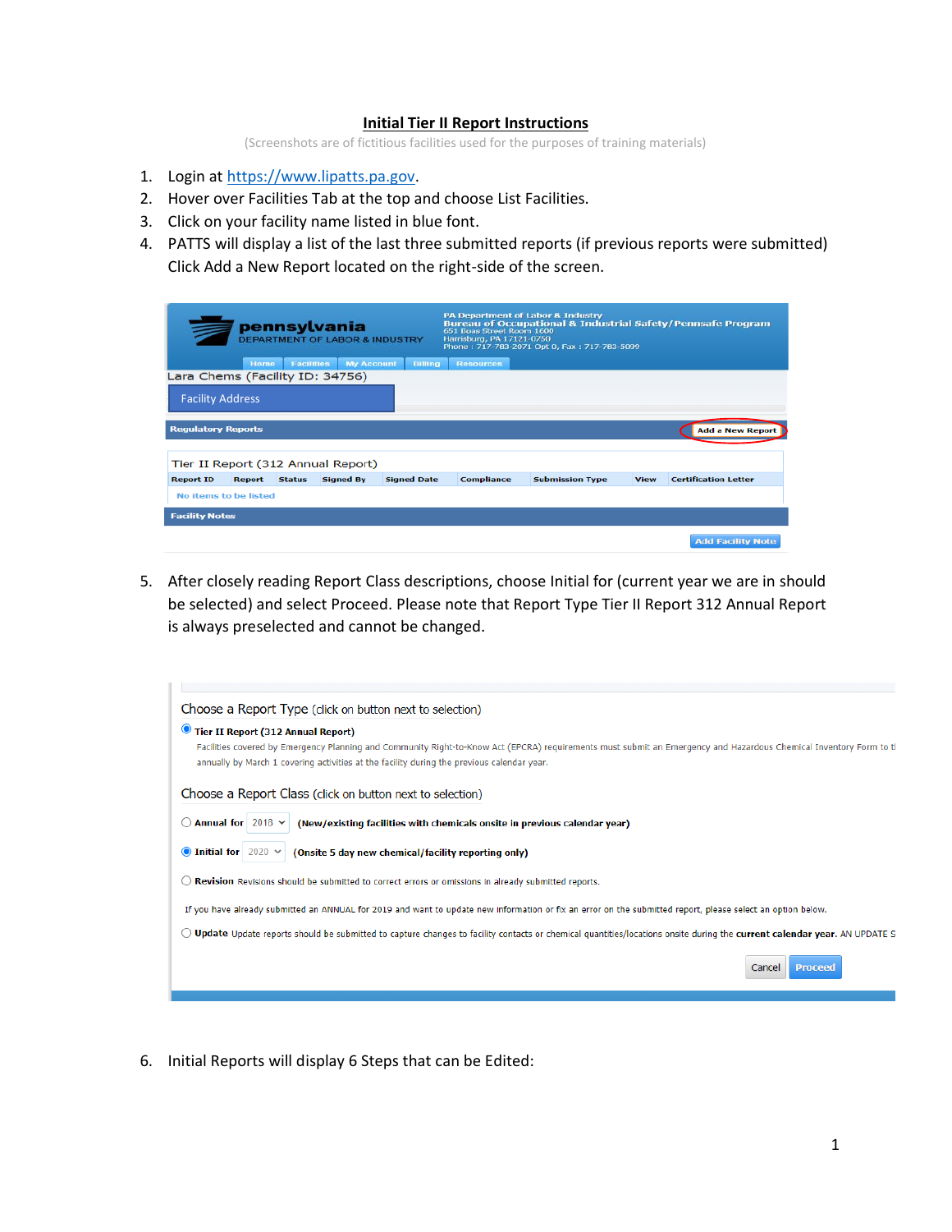## **Initial Tier II Report Instructions**

(Screenshots are of fictitious facilities used for the purposes of training materials)

- 1. Login at [https://www.lipatts.pa.gov.](https://www.lipatts.pa.gov/)
- 2. Hover over Facilities Tab at the top and choose List Facilities.
- 3. Click on your facility name listed in blue font.
- 4. PATTS will display a list of the last three submitted reports (if previous reports were submitted) Click Add a New Report located on the right-side of the screen.

|                                 |               |                   | pennsylvania<br><b>DEPARTMENT OF LABOR &amp; INDUSTRY</b> |                    | 651 Boas Street Room 1600<br>Harrisburg, PA 17121-0750 | PA Department of Labor & Industry<br>Phone: 717-783-2071 Opt 0, Fax: 717-783-5099 |             | <b>Bureau of Occupational &amp; Industrial Safety/Pennsafe Program</b> |
|---------------------------------|---------------|-------------------|-----------------------------------------------------------|--------------------|--------------------------------------------------------|-----------------------------------------------------------------------------------|-------------|------------------------------------------------------------------------|
|                                 | Home          | <b>Facilities</b> | <b>My Account</b>                                         | Billing            | <b>Resources</b>                                       |                                                                                   |             |                                                                        |
| Lara Chems (Facility ID: 34756) |               |                   |                                                           |                    |                                                        |                                                                                   |             |                                                                        |
| <b>Facility Address</b>         |               |                   |                                                           |                    |                                                        |                                                                                   |             |                                                                        |
| <b>Regulatory Reports</b>       |               |                   |                                                           |                    |                                                        |                                                                                   |             | <b>Add a New Report</b>                                                |
|                                 |               |                   | Tier II Report (312 Annual Report)                        |                    |                                                        |                                                                                   |             |                                                                        |
| <b>Report ID</b>                | <b>Report</b> | <b>Status</b>     | <b>Signed By</b>                                          | <b>Signed Date</b> | <b>Compliance</b>                                      | <b>Submission Type</b>                                                            | <b>View</b> | <b>Certification Letter</b>                                            |
| No items to be listed           |               |                   |                                                           |                    |                                                        |                                                                                   |             |                                                                        |
| <b>Facility Notes</b>           |               |                   |                                                           |                    |                                                        |                                                                                   |             |                                                                        |
|                                 |               |                   |                                                           |                    |                                                        |                                                                                   |             | <b>Add Facility Note</b>                                               |

5. After closely reading Report Class descriptions, choose Initial for (current year we are in should be selected) and select Proceed. Please note that Report Type Tier II Report 312 Annual Report is always preselected and cannot be changed.

| Choose a Report Type (click on button next to selection)                                                                                                                                                                                                         |
|------------------------------------------------------------------------------------------------------------------------------------------------------------------------------------------------------------------------------------------------------------------|
| $\bullet$<br><b>Tier II Report (312 Annual Report)</b>                                                                                                                                                                                                           |
| Facilities covered by Emergency Planning and Community Right-to-Know Act (EPCRA) requirements must submit an Emergency and Hazardous Chemical Inventory Form to tl<br>annually by March 1 covering activities at the facility during the previous calendar year. |
| Choose a Report Class (click on button next to selection)                                                                                                                                                                                                        |
| Annual for $2018 \times$<br>(New/existing facilities with chemicals onsite in previous calendar year)                                                                                                                                                            |
| • Initial for $2020 \times$<br>(Onsite 5 day new chemical/facility reporting only)                                                                                                                                                                               |
| Revision Revisions should be submitted to correct errors or omissions in already submitted reports.                                                                                                                                                              |
| If you have already submitted an ANNUAL for 2019 and want to update new information or fix an error on the submitted report, please select an option below.                                                                                                      |
| Update Update reports should be submitted to capture changes to facility contacts or chemical quantities/locations onsite during the current calendar year. AN UPDATE S                                                                                          |
| <b>Proceed</b><br>Cancel                                                                                                                                                                                                                                         |
|                                                                                                                                                                                                                                                                  |

6. Initial Reports will display 6 Steps that can be Edited: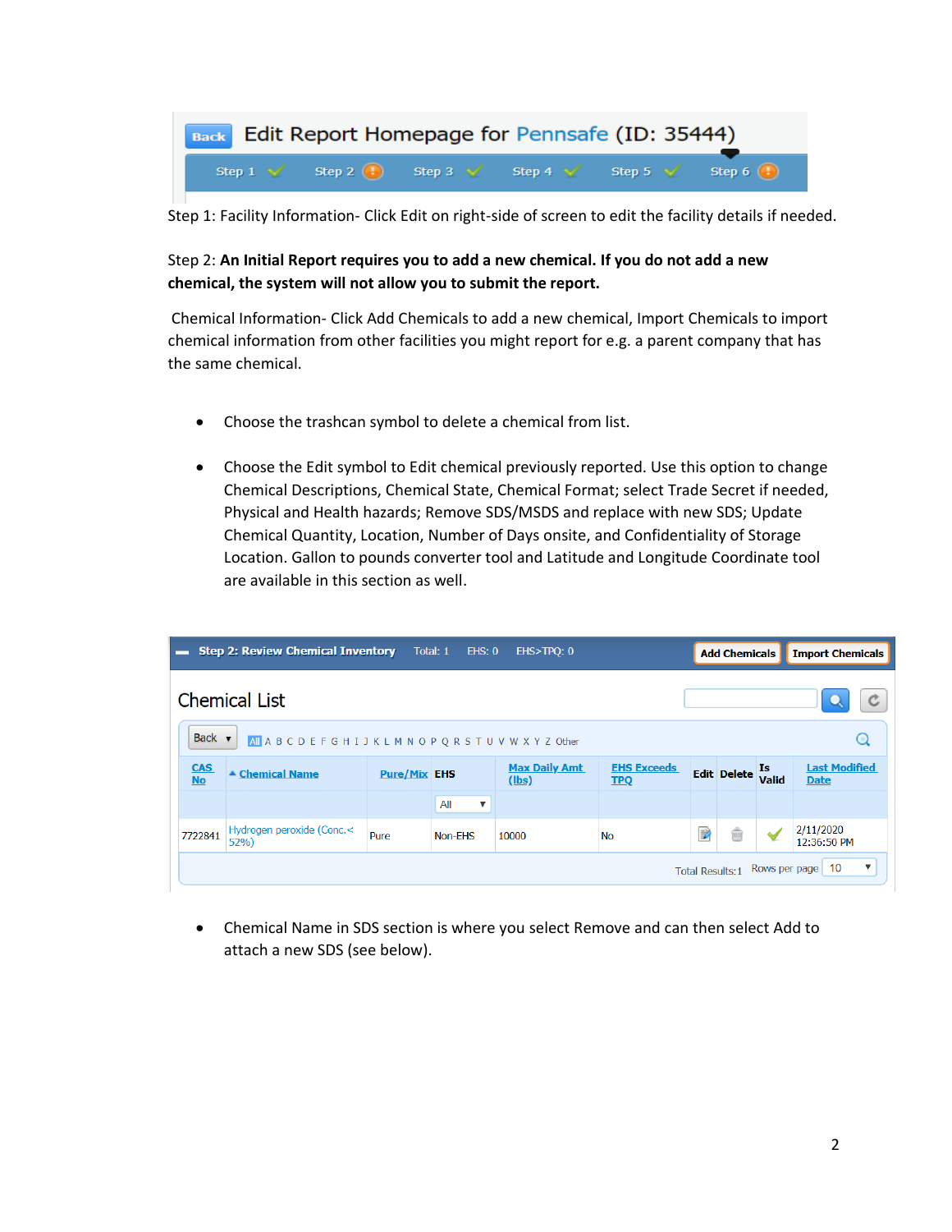

Step 1: Facility Information- Click Edit on right-side of screen to edit the facility details if needed.

## Step 2: **An Initial Report requires you to add a new chemical. If you do not add a new chemical, the system will not allow you to submit the report.**

Chemical Information- Click Add Chemicals to add a new chemical, Import Chemicals to import chemical information from other facilities you might report for e.g. a parent company that has the same chemical.

- Choose the trashcan symbol to delete a chemical from list.
- Choose the Edit symbol to Edit chemical previously reported. Use this option to change Chemical Descriptions, Chemical State, Chemical Format; select Trade Secret if needed, Physical and Health hazards; Remove SDS/MSDS and replace with new SDS; Update Chemical Quantity, Location, Number of Days onsite, and Confidentiality of Storage Location. Gallon to pounds converter tool and Latitude and Longitude Coordinate tool are available in this section as well.

|                                                                  | <b>Step 2: Review Chemical Inventory</b>                                        |                     | Total: 1<br>HSS 0                | EHS>TPQ: 0                    |                                  |   | <b>Add Chemicals</b> |              | <b>Import Chemicals</b>             |  |
|------------------------------------------------------------------|---------------------------------------------------------------------------------|---------------------|----------------------------------|-------------------------------|----------------------------------|---|----------------------|--------------|-------------------------------------|--|
| <b>Chemical List</b>                                             |                                                                                 |                     |                                  |                               |                                  |   |                      |              |                                     |  |
|                                                                  | Back $\bullet$<br>All A B C D E F G H I J K L M N O P Q R S T U V W X Y Z Other |                     |                                  |                               |                                  |   |                      | Q            |                                     |  |
| <b>CAS</b><br><b>No</b>                                          | ▲ Chemical Name                                                                 | <b>Pure/Mix EHS</b> |                                  | <b>Max Daily Amt</b><br>(lbs) | <b>EHS Exceeds</b><br><b>TPQ</b> |   | Edit Delete Is       |              | <b>Last Modified</b><br><b>Date</b> |  |
|                                                                  |                                                                                 |                     | $\boldsymbol{\mathrm{v}}$<br>All |                               |                                  |   |                      |              |                                     |  |
| 7722841                                                          | Hydrogen peroxide (Conc.<<br>52%                                                | Pure                | Non-EHS                          | 10000                         | <b>No</b>                        | 國 | ŵ                    | $\checkmark$ | 2/11/2020<br>12:36:50 PM            |  |
| $\boldsymbol{\mathrm{v}}$<br>10<br>Total Results:1 Rows per page |                                                                                 |                     |                                  |                               |                                  |   |                      |              |                                     |  |

• Chemical Name in SDS section is where you select Remove and can then select Add to attach a new SDS (see below).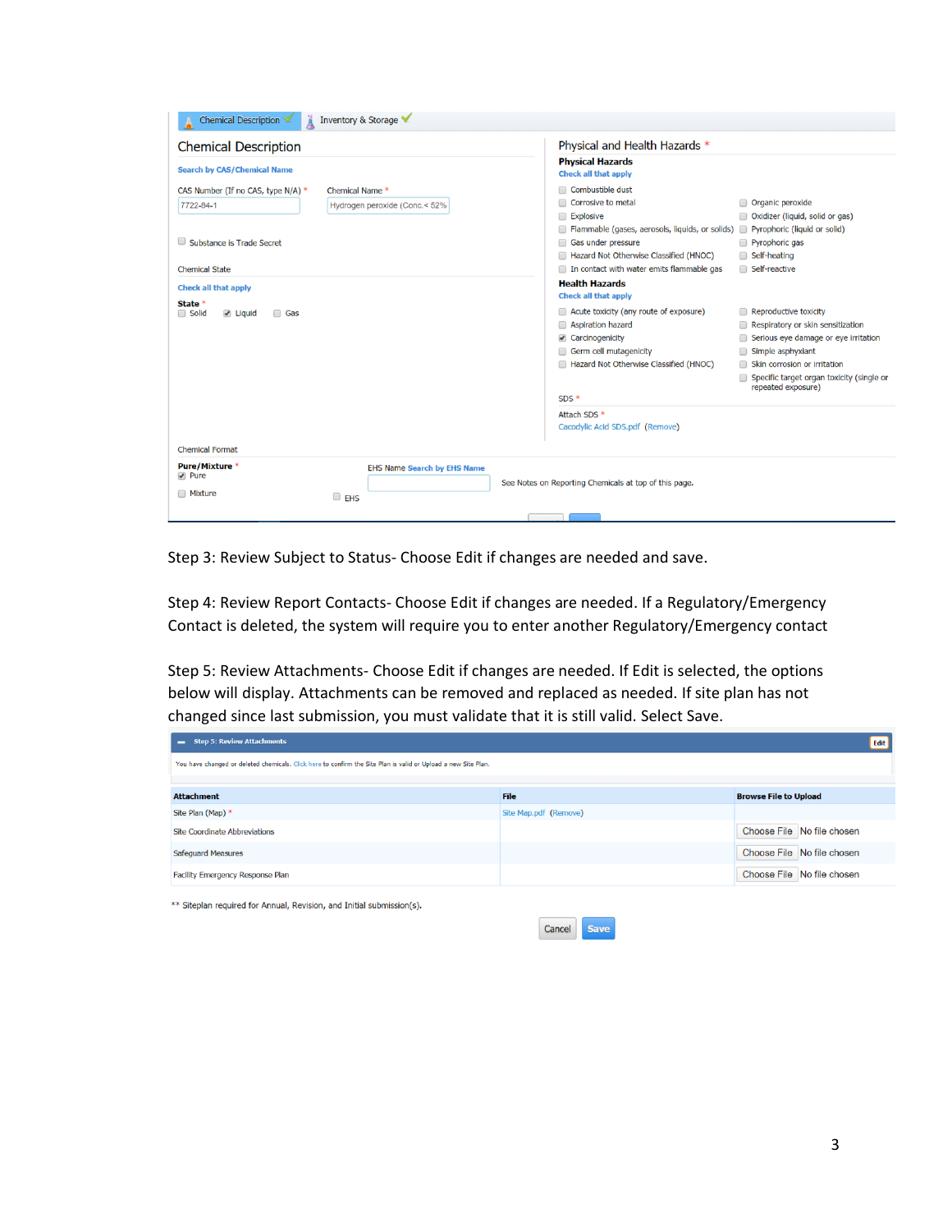| Inventory & Storage<br>Chemical Description                                                                                      |                                                                                                                                                                                                                                                                                                                                                                                                 |
|----------------------------------------------------------------------------------------------------------------------------------|-------------------------------------------------------------------------------------------------------------------------------------------------------------------------------------------------------------------------------------------------------------------------------------------------------------------------------------------------------------------------------------------------|
| <b>Chemical Description</b><br><b>Search by CAS/Chemical Name</b>                                                                | Physical and Health Hazards *<br><b>Physical Hazards</b><br><b>Check all that apply</b>                                                                                                                                                                                                                                                                                                         |
| CAS Number (If no CAS, type N/A) *<br>Chemical Name *<br>7722-84-1<br>Hydrogen peroxide (Conc.< 52%<br>Substance is Trade Secret | Combustible dust<br>Corrosive to metal<br>Organic peroxide<br>□ Oxidizer (liquid, solid or gas)<br><b>Explosive</b><br>Flammable (gases, aerosols, liquids, or solids) Pyrophoric (liquid or solid)<br>Gas under pressure<br>Pyrophoric gas<br>Hazard Not Otherwise Classified (HNOC)<br>Self-heating                                                                                           |
| <b>Chemical State</b><br><b>Check all that apply</b>                                                                             | Self-reactive<br>In contact with water emits flammable gas<br><b>Health Hazards</b><br><b>Check all that apply</b>                                                                                                                                                                                                                                                                              |
| State *<br>Solid<br>$\blacktriangleright$ Liquid<br><b>Gas</b>                                                                   | Acute toxicity (any route of exposure)<br>Reproductive toxicity<br>⋒<br>Respiratory or skin sensitization<br>Aspiration hazard<br>Carcinogenicity<br>Serious eye damage or eye irritation<br>Germ cell mutagenicity<br>Simple asphyxiant<br>Hazard Not Otherwise Classified (HNOC)<br>Skin corrosion or irritation<br>Specific target organ toxicity (single or<br>repeated exposure)<br>$SDS*$ |
| <b>Chemical Format</b>                                                                                                           | Attach SDS *<br>Cacodylic Acid SDS.pdf (Remove)                                                                                                                                                                                                                                                                                                                                                 |
| Pure/Mixture *<br><b>EHS Name Search by EHS Name</b><br>$\blacktriangleright$ Pure<br><b>Mixture</b><br>$\Box$ EHS               | See Notes on Reporting Chemicals at top of this page.                                                                                                                                                                                                                                                                                                                                           |
|                                                                                                                                  |                                                                                                                                                                                                                                                                                                                                                                                                 |

Step 3: Review Subject to Status- Choose Edit if changes are needed and save.

Step 4: Review Report Contacts- Choose Edit if changes are needed. If a Regulatory/Emergency Contact is deleted, the system will require you to enter another Regulatory/Emergency contact

Step 5: Review Attachments- Choose Edit if changes are needed. If Edit is selected, the options below will display. Attachments can be removed and replaced as needed. If site plan has not changed since last submission, you must validate that it is still valid. Select Save.

| <b>Step 5: Review Attachments</b><br>-                                                                         |                       | Edit                         |
|----------------------------------------------------------------------------------------------------------------|-----------------------|------------------------------|
| You have changed or deleted chemicals. Click here to confirm the Site Plan is valid or Upload a new Site Plan. |                       |                              |
|                                                                                                                |                       |                              |
| <b>Attachment</b>                                                                                              | File                  | <b>Browse File to Upload</b> |
| Site Plan (Map) *                                                                                              | Site Map.pdf (Remove) |                              |
| <b>Site Coordinate Abbreviations</b>                                                                           |                       | Choose File No file chosen   |
| <b>Safequard Measures</b>                                                                                      |                       | Choose File No file chosen   |
| Facility Emergency Response Plan                                                                               |                       | Choose File No file chosen   |

\*\* Siteplan required for Annual, Revision, and Initial submission(s).